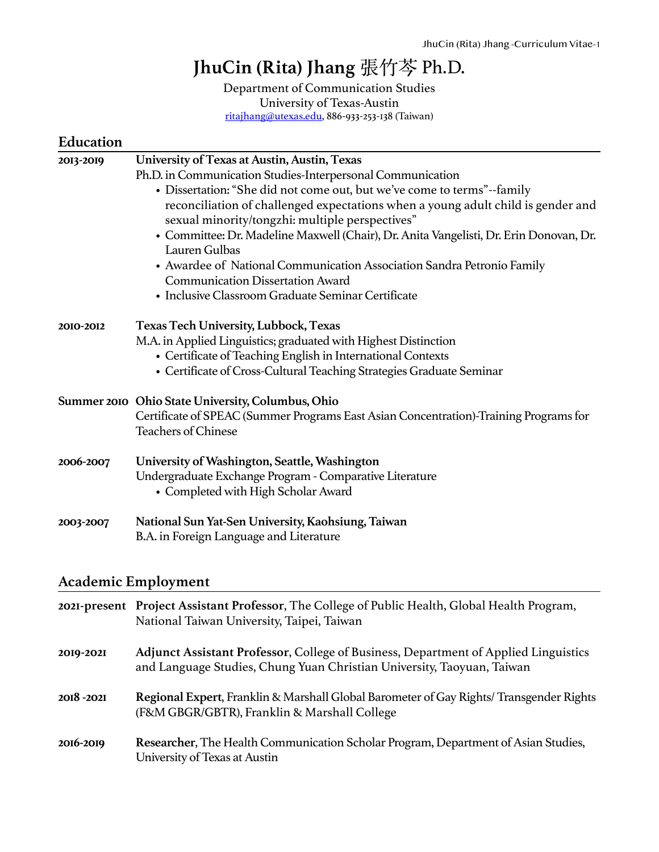# **JhuCin (Rita) Jhang** 張⽵芩 Ph.D.

Department of Communication Studies University of Texas-Austin [ritajhang@utexas.edu](mailto:ritajhang@utexas.edu), 886-933-253-138 (Taiwan)

| Education |                                                                                                                                                                                                                                                                                                                                                                                                                                                                                                                                                                                                                    |
|-----------|--------------------------------------------------------------------------------------------------------------------------------------------------------------------------------------------------------------------------------------------------------------------------------------------------------------------------------------------------------------------------------------------------------------------------------------------------------------------------------------------------------------------------------------------------------------------------------------------------------------------|
| 2013-2019 | University of Texas at Austin, Austin, Texas<br>Ph.D. in Communication Studies-Interpersonal Communication<br>• Dissertation: "She did not come out, but we've come to terms"--family<br>reconciliation of challenged expectations when a young adult child is gender and<br>sexual minority/tongzhi: multiple perspectives"<br>• Committee: Dr. Madeline Maxwell (Chair), Dr. Anita Vangelisti, Dr. Erin Donovan, Dr.<br>Lauren Gulbas<br>• Awardee of National Communication Association Sandra Petronio Family<br><b>Communication Dissertation Award</b><br>• Inclusive Classroom Graduate Seminar Certificate |
| 2010-2012 | <b>Texas Tech University, Lubbock, Texas</b><br>M.A. in Applied Linguistics; graduated with Highest Distinction<br>• Certificate of Teaching English in International Contexts<br>• Certificate of Cross-Cultural Teaching Strategies Graduate Seminar                                                                                                                                                                                                                                                                                                                                                             |
|           | Summer 2010 Ohio State University, Columbus, Ohio<br>Certificate of SPEAC (Summer Programs East Asian Concentration)-Training Programs for<br><b>Teachers of Chinese</b>                                                                                                                                                                                                                                                                                                                                                                                                                                           |
| 2006-2007 | University of Washington, Seattle, Washington<br>Undergraduate Exchange Program - Comparative Literature<br>• Completed with High Scholar Award                                                                                                                                                                                                                                                                                                                                                                                                                                                                    |
| 2003-2007 | National Sun Yat-Sen University, Kaohsiung, Taiwan<br>B.A. in Foreign Language and Literature                                                                                                                                                                                                                                                                                                                                                                                                                                                                                                                      |

### **Academic Employment**

|           | 2021-present Project Assistant Professor, The College of Public Health, Global Health Program,<br>National Taiwan University, Taipei, Taiwan                  |
|-----------|---------------------------------------------------------------------------------------------------------------------------------------------------------------|
| 2019-2021 | Adjunct Assistant Professor, College of Business, Department of Applied Linguistics<br>and Language Studies, Chung Yuan Christian University, Taoyuan, Taiwan |
| 2018-2021 | Regional Expert, Franklin & Marshall Global Barometer of Gay Rights/Transgender Rights<br>(F&M GBGR/GBTR), Franklin & Marshall College                        |
| 2016-2019 | Researcher, The Health Communication Scholar Program, Department of Asian Studies,<br>University of Texas at Austin                                           |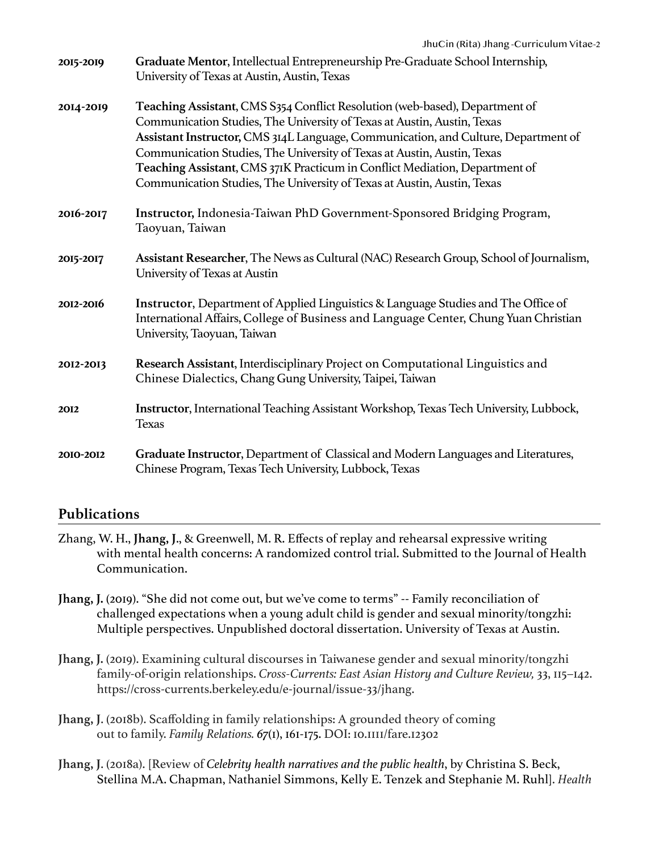| 2015-2019 | Graduate Mentor, Intellectual Entrepreneurship Pre-Graduate School Internship,<br>University of Texas at Austin, Austin, Texas                                                                                                                                                                                                                                                                                                                                                    |
|-----------|-----------------------------------------------------------------------------------------------------------------------------------------------------------------------------------------------------------------------------------------------------------------------------------------------------------------------------------------------------------------------------------------------------------------------------------------------------------------------------------|
| 2014-2019 | Teaching Assistant, CMS S354 Conflict Resolution (web-based), Department of<br>Communication Studies, The University of Texas at Austin, Austin, Texas<br>Assistant Instructor, CMS 314L Language, Communication, and Culture, Department of<br>Communication Studies, The University of Texas at Austin, Austin, Texas<br>Teaching Assistant, CMS 371K Practicum in Conflict Mediation, Department of<br>Communication Studies, The University of Texas at Austin, Austin, Texas |
| 2016-2017 | Instructor, Indonesia-Taiwan PhD Government-Sponsored Bridging Program,<br>Taoyuan, Taiwan                                                                                                                                                                                                                                                                                                                                                                                        |
| 2015-2017 | Assistant Researcher, The News as Cultural (NAC) Research Group, School of Journalism,<br>University of Texas at Austin                                                                                                                                                                                                                                                                                                                                                           |
| 2012-2016 | Instructor, Department of Applied Linguistics & Language Studies and The Office of<br>International Affairs, College of Business and Language Center, Chung Yuan Christian<br>University, Taoyuan, Taiwan                                                                                                                                                                                                                                                                         |
| 2012-2013 | Research Assistant, Interdisciplinary Project on Computational Linguistics and<br>Chinese Dialectics, Chang Gung University, Taipei, Taiwan                                                                                                                                                                                                                                                                                                                                       |
| 2012      | Instructor, International Teaching Assistant Workshop, Texas Tech University, Lubbock,<br><b>Texas</b>                                                                                                                                                                                                                                                                                                                                                                            |
| 2010-2012 | Graduate Instructor, Department of Classical and Modern Languages and Literatures,<br>Chinese Program, Texas Tech University, Lubbock, Texas                                                                                                                                                                                                                                                                                                                                      |

### **Publications**

- Zhang, W. H., **Jhang, J**., & Greenwell, M. R. Effects of replay and rehearsal expressive writing with mental health concerns: A randomized control trial. Submitted to the Journal of Health Communication.
- **Jhang, J.** (2019). "She did not come out, but we've come to terms" -- Family reconciliation of challenged expectations when a young adult child is gender and sexual minority/tongzhi: Multiple perspectives. Unpublished doctoral dissertation. University of Texas at Austin.
- **Jhang, J.** (2019). Examining cultural discourses in Taiwanese gender and sexual minority/tongzhi family-of-origin relationships. *Cross-Currents: East Asian History and Culture Review,* 33, 115–142. https://cross-currents.berkeley.edu/e-journal/issue-33/jhang.
- **Jhang, J**. (2018b). Scaffolding in family relationships: A grounded theory of coming out to family. *Family Relations. 67*(1), 161-175. DOI: 10.1111/fare.12302
- **Jhang, J**. (2018a). [Review of *Celebrity health narratives and the public health*, by Christina S. Beck, Stellina M.A. Chapman, Nathaniel Simmons, Kelly E. Tenzek and Stephanie M. Ruhl]. *Health*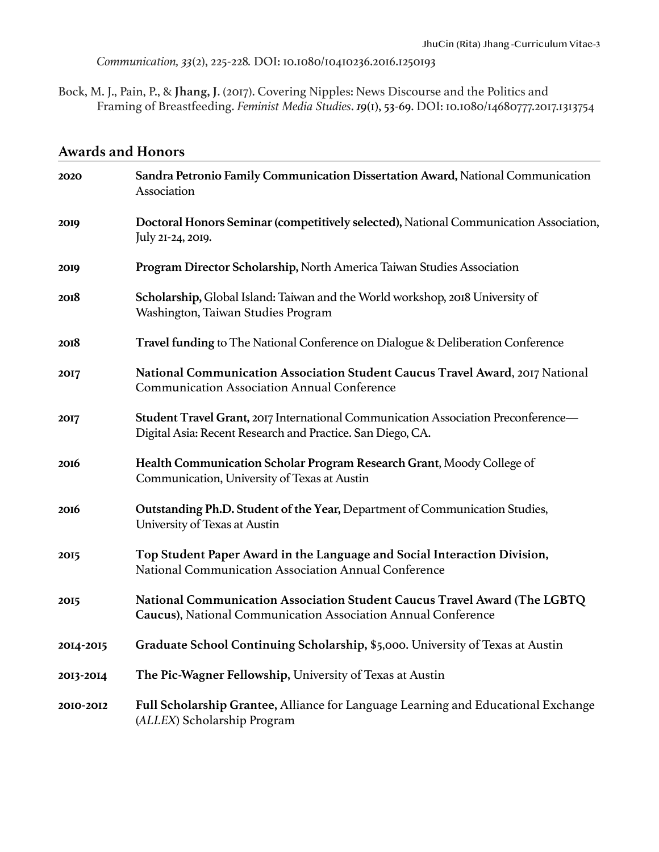*Communication, 33*(2), 225-228*.* DOI: 10.1080/10410236.2016.1250193

Bock, M. J., Pain, P., & **Jhang, J**. (2017). Covering Nipples: News Discourse and the Politics and Framing of Breastfeeding. *Feminist Media Studies*. *19*(1), 53-69. DOI: 10.1080/14680777.2017.1313754

### **Awards and Honors**

| 2020        | Sandra Petronio Family Communication Dissertation Award, National Communication<br>Association                                                     |
|-------------|----------------------------------------------------------------------------------------------------------------------------------------------------|
| 2019        | Doctoral Honors Seminar (competitively selected), National Communication Association,<br>July 21-24, 2019.                                         |
| 2019        | Program Director Scholarship, North America Taiwan Studies Association                                                                             |
| 2018        | Scholarship, Global Island: Taiwan and the World workshop, 2018 University of<br>Washington, Taiwan Studies Program                                |
| 2018        | Travel funding to The National Conference on Dialogue & Deliberation Conference                                                                    |
| 2017        | National Communication Association Student Caucus Travel Award, 2017 National<br><b>Communication Association Annual Conference</b>                |
| <b>2017</b> | Student Travel Grant, 2017 International Communication Association Preconference-<br>Digital Asia: Recent Research and Practice. San Diego, CA.    |
| <b>2016</b> | Health Communication Scholar Program Research Grant, Moody College of<br>Communication, University of Texas at Austin                              |
| <b>2016</b> | Outstanding Ph.D. Student of the Year, Department of Communication Studies,<br>University of Texas at Austin                                       |
| 2015        | Top Student Paper Award in the Language and Social Interaction Division,<br>National Communication Association Annual Conference                   |
| <b>2015</b> | National Communication Association Student Caucus Travel Award (The LGBTQ<br><b>Caucus)</b> , National Communication Association Annual Conference |
| 2014-2015   | Graduate School Continuing Scholarship, \$5,000. University of Texas at Austin                                                                     |
| 2013-2014   | The Pic-Wagner Fellowship, University of Texas at Austin                                                                                           |
| 2010-2012   | Full Scholarship Grantee, Alliance for Language Learning and Educational Exchange<br>(ALLEX) Scholarship Program                                   |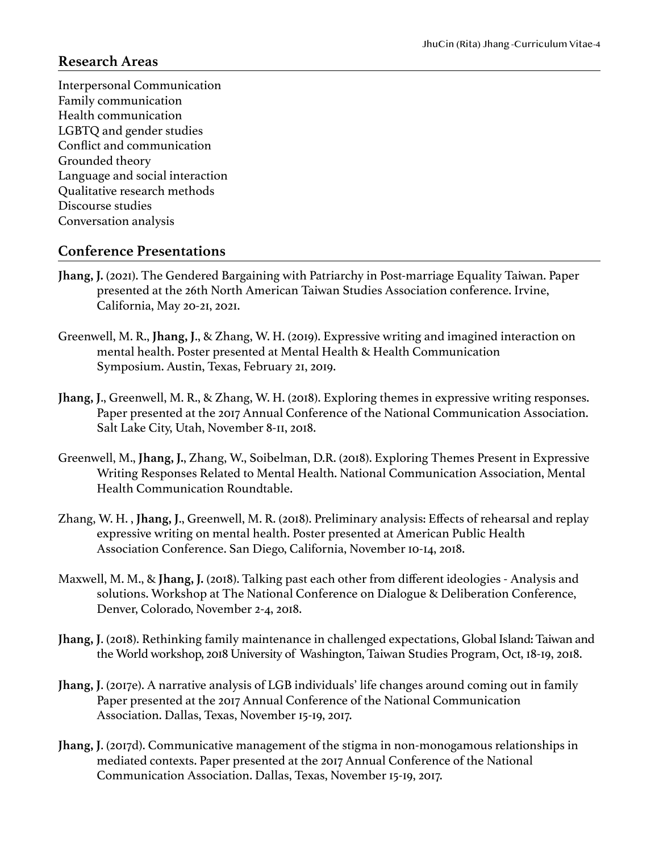#### **Research Areas**

Interpersonal Communication Family communication Health communication LGBTQ and gender studies Conflict and communication Grounded theory Language and social interaction Qualitative research methods Discourse studies Conversation analysis

#### **Conference Presentations**

- **Jhang, J.** (2021). The Gendered Bargaining with Patriarchy in Post-marriage Equality Taiwan. Paper presented at the 26th North American Taiwan Studies Association conference. Irvine, California, May 20-21, 2021.
- Greenwell, M. R., **Jhang, J**., & Zhang, W. H. (2019). Expressive writing and imagined interaction on mental health. Poster presented at Mental Health & Health Communication Symposium. Austin, Texas, February 21, 2019.
- **Jhang, J**., Greenwell, M. R., & Zhang, W. H. (2018). Exploring themes in expressive writing responses. Paper presented at the 2017 Annual Conference of the National Communication Association. Salt Lake City, Utah, November 8-11, 2018.
- Greenwell, M., **Jhang, J.**, Zhang, W., Soibelman, D.R. (2018). Exploring Themes Present in Expressive Writing Responses Related to Mental Health. National Communication Association, Mental Health Communication Roundtable.
- Zhang, W. H. , **Jhang, J**., Greenwell, M. R. (2018). Preliminary analysis: Effects of rehearsal and replay expressive writing on mental health. Poster presented at American Public Health Association Conference. San Diego, California, November 10-14, 2018.
- Maxwell, M. M., & **Jhang, J.** (2018). Talking past each other from different ideologies Analysis and solutions. Workshop at The National Conference on Dialogue & Deliberation Conference, Denver, Colorado, November 2-4, 2018.
- **Jhang, J**. (2018). Rethinking family maintenance in challenged expectations, Global Island: Taiwan and the World workshop, 2018 University of Washington, Taiwan Studies Program, Oct, 18-19, 2018.
- **Jhang, J**. (2017e). A narrative analysis of LGB individuals' life changes around coming out in family Paper presented at the 2017 Annual Conference of the National Communication Association. Dallas, Texas, November 15-19, 2017.
- **Jhang, J**. (2017d). Communicative management of the stigma in non-monogamous relationships in mediated contexts. Paper presented at the 2017 Annual Conference of the National Communication Association. Dallas, Texas, November 15-19, 2017.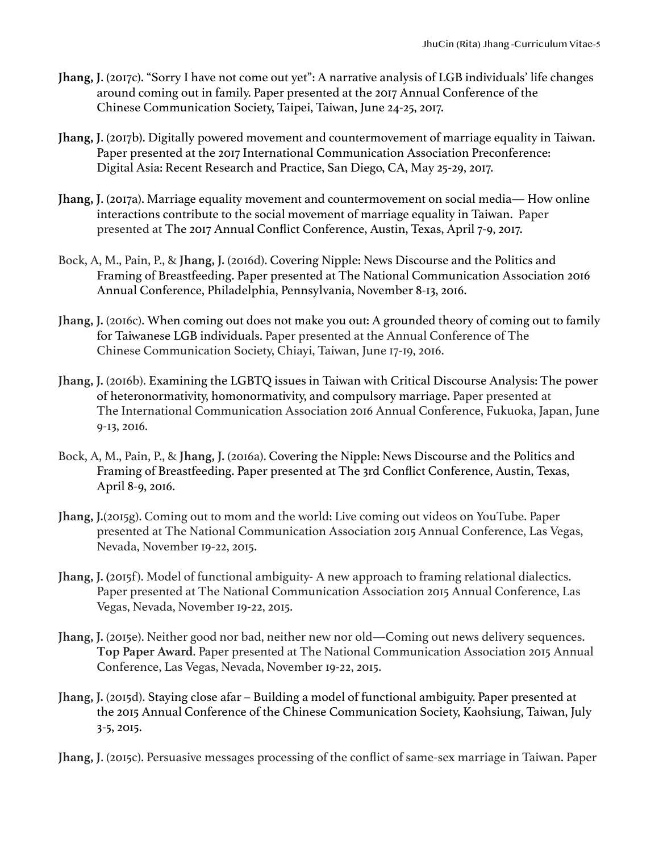- **Jhang, J**. (2017c). "Sorry I have not come out yet": A narrative analysis of LGB individuals' life changes around coming out in family. Paper presented at the 2017 Annual Conference of the Chinese Communication Society, Taipei, Taiwan, June 24-25, 2017.
- **Jhang, J**. (2017b). Digitally powered movement and countermovement of marriage equality in Taiwan. Paper presented at the 2017 International Communication Association Preconference: Digital Asia: Recent Research and Practice, San Diego, CA, May 25-29, 2017.
- **Jhang, J**. (2017a). Marriage equality movement and countermovement on social media— How online interactions contribute to the social movement of marriage equality in Taiwan. Paper presented at The 2017 Annual Conflict Conference, Austin, Texas, April 7-9, 2017.
- Bock, A, M., Pain, P., & **Jhang, J.** (2016d). Covering Nipple: News Discourse and the Politics and Framing of Breastfeeding. Paper presented at The National Communication Association 2016 Annual Conference, Philadelphia, Pennsylvania, November 8-13, 2016.
- **Jhang, J.** (2016c). When coming out does not make you out: A grounded theory of coming out to family for Taiwanese LGB individuals. Paper presented at the Annual Conference of The Chinese Communication Society, Chiayi, Taiwan, June 17-19, 2016.
- **Jhang, J.** (2016b). Examining the LGBTQ issues in Taiwan with Critical Discourse Analysis: The power of heteronormativity, homonormativity, and compulsory marriage. Paper presented at The International Communication Association 2016 Annual Conference, Fukuoka, Japan, June 9-13, 2016.
- Bock, A, M., Pain, P., & **Jhang, J.** (2016a). Covering the Nipple: News Discourse and the Politics and Framing of Breastfeeding. Paper presented at The 3rd Conflict Conference, Austin, Texas, April 8-9, 2016.
- **Jhang, J.**(2015g). Coming out to mom and the world: Live coming out videos on YouTube. Paper presented at The National Communication Association 2015 Annual Conference, Las Vegas, Nevada, November 19-22, 2015.
- Jhang, J. (2015f). Model of functional ambiguity-A new approach to framing relational dialectics. Paper presented at The National Communication Association 2015 Annual Conference, Las Vegas, Nevada, November 19-22, 2015.
- **Jhang, J.** (2015e). Neither good nor bad, neither new nor old—Coming out news delivery sequences. **Top Paper Award**. Paper presented at The National Communication Association 2015 Annual Conference, Las Vegas, Nevada, November 19-22, 2015.
- **Jhang, J.** (2015d). Staying close afar Building a model of functional ambiguity. Paper presented at the 2015 Annual Conference of the Chinese Communication Society, Kaohsiung, Taiwan, July 3-5, 2015.

**Jhang, J**. (2015c). Persuasive messages processing of the conflict of same-sex marriage in Taiwan. Paper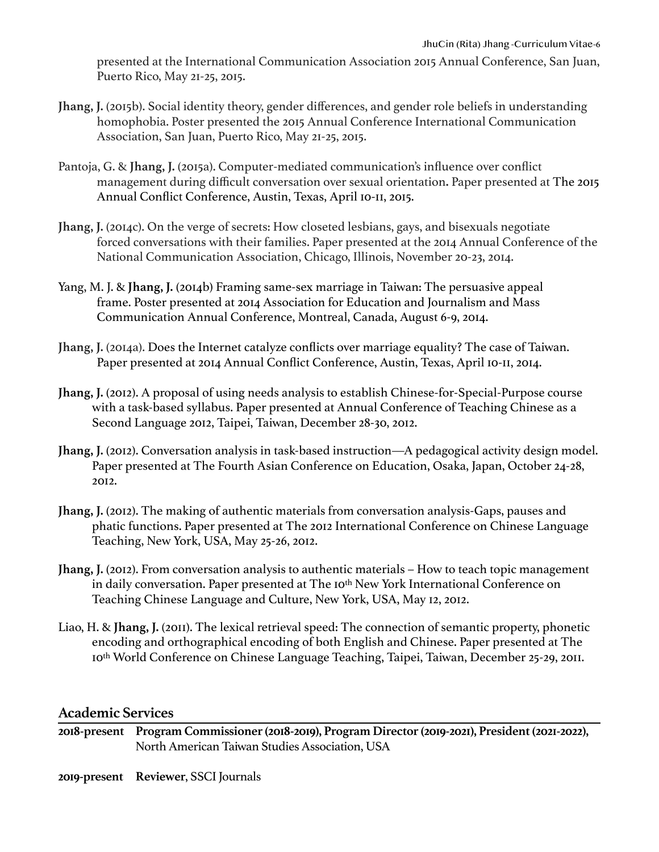presented at the International Communication Association 2015 Annual Conference, San Juan, Puerto Rico, May 21-25, 2015.

- **Jhang, J.** (2015b). Social identity theory, gender differences, and gender role beliefs in understanding homophobia. Poster presented the 2015 Annual Conference International Communication Association, San Juan, Puerto Rico, May 21-25, 2015.
- Pantoja, G. & **Jhang, J.** (2015a). Computer-mediated communication's influence over conflict management during difficult conversation over sexual orientation**.** Paper presented at The 2015 Annual Conflict Conference, Austin, Texas, April 10-11, 2015.
- **Jhang, J.** (2014c). On the verge of secrets: How closeted lesbians, gays, and bisexuals negotiate forced conversations with their families. Paper presented at the 2014 Annual Conference of the National Communication Association, Chicago, Illinois, November 20-23, 2014.
- Yang, M. J. & **Jhang, J.** (2014b) Framing same-sex marriage in Taiwan: The persuasive appeal frame. Poster presented at 2014 Association for Education and Journalism and Mass Communication Annual Conference, Montreal, Canada, August 6-9, 2014.
- **Jhang, J.** (2014a). Does the Internet catalyze conflicts over marriage equality? The case of Taiwan. Paper presented at 2014 Annual Conflict Conference, Austin, Texas, April 10-11, 2014.
- **Jhang, J.** (2012). A proposal of using needs analysis to establish Chinese-for-Special-Purpose course with a task-based syllabus. Paper presented at Annual Conference of Teaching Chinese as a Second Language 2012, Taipei, Taiwan, December 28-30, 2012.
- **Jhang, J.** (2012). Conversation analysis in task-based instruction—A pedagogical activity design model. Paper presented at The Fourth Asian Conference on Education, Osaka, Japan, October 24-28, 2012.
- **Jhang, J.** (2012). The making of authentic materials from conversation analysis-Gaps, pauses and phatic functions. Paper presented at The 2012 International Conference on Chinese Language Teaching, New York, USA, May 25-26, 2012.
- **Jhang, J.** (2012). From conversation analysis to authentic materials How to teach topic management in daily conversation. Paper presented at The 10<sup>th</sup> New York International Conference on Teaching Chinese Language and Culture, New York, USA, May 12, 2012.
- Liao, H. & **Jhang, J.** (2011). The lexical retrieval speed: The connection of semantic property, phonetic encoding and orthographical encoding of both English and Chinese. Paper presented at The 10th World Conference on Chinese Language Teaching, Taipei, Taiwan, December 25-29, 2011.

#### **Academic Services**

- **2018-present Program Commissioner (2018-2019), Program Director (2019-2021), President (2021-2022),**  North American Taiwan Studies Association, USA
- **2019-present Reviewer**, SSCI Journals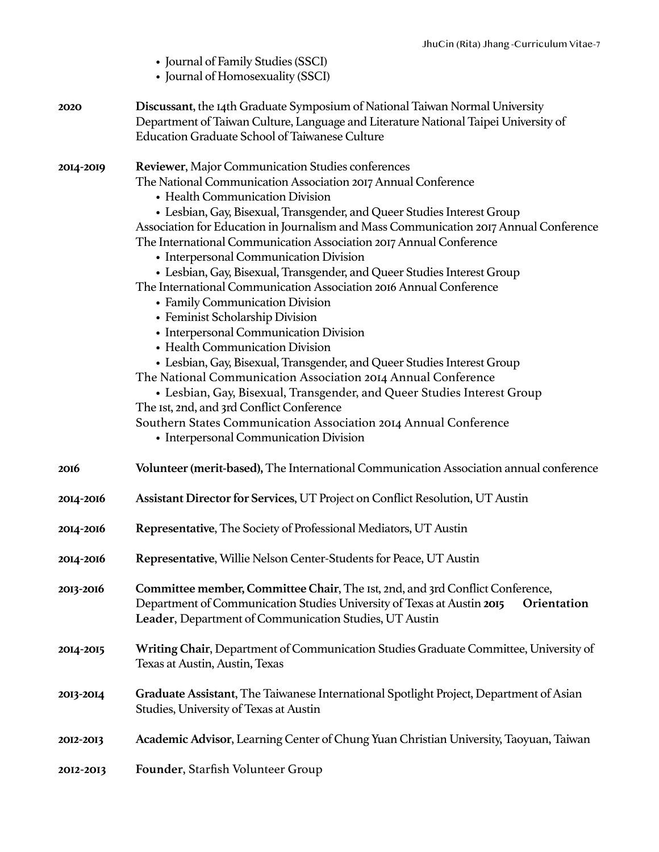|             | • Journal of Family Studies (SSCI)<br>• Journal of Homosexuality (SSCI)                                                                                                                                                                                                                                                                                                                                                                                                                                                                                                                                                                                                                                                                                                                                                                                                                                                                                                                                                                                                                                                         |
|-------------|---------------------------------------------------------------------------------------------------------------------------------------------------------------------------------------------------------------------------------------------------------------------------------------------------------------------------------------------------------------------------------------------------------------------------------------------------------------------------------------------------------------------------------------------------------------------------------------------------------------------------------------------------------------------------------------------------------------------------------------------------------------------------------------------------------------------------------------------------------------------------------------------------------------------------------------------------------------------------------------------------------------------------------------------------------------------------------------------------------------------------------|
| 2020        | Discussant, the 14th Graduate Symposium of National Taiwan Normal University<br>Department of Taiwan Culture, Language and Literature National Taipei University of<br><b>Education Graduate School of Taiwanese Culture</b>                                                                                                                                                                                                                                                                                                                                                                                                                                                                                                                                                                                                                                                                                                                                                                                                                                                                                                    |
| 2014-2019   | Reviewer, Major Communication Studies conferences<br>The National Communication Association 2017 Annual Conference<br>• Health Communication Division<br>• Lesbian, Gay, Bisexual, Transgender, and Queer Studies Interest Group<br>Association for Education in Journalism and Mass Communication 2017 Annual Conference<br>The International Communication Association 2017 Annual Conference<br>• Interpersonal Communication Division<br>• Lesbian, Gay, Bisexual, Transgender, and Queer Studies Interest Group<br>The International Communication Association 2016 Annual Conference<br>• Family Communication Division<br>• Feminist Scholarship Division<br>• Interpersonal Communication Division<br>• Health Communication Division<br>• Lesbian, Gay, Bisexual, Transgender, and Queer Studies Interest Group<br>The National Communication Association 2014 Annual Conference<br>• Lesbian, Gay, Bisexual, Transgender, and Queer Studies Interest Group<br>The Ist, 2nd, and 3rd Conflict Conference<br>Southern States Communication Association 2014 Annual Conference<br>• Interpersonal Communication Division |
| <b>2016</b> | Volunteer (merit-based), The International Communication Association annual conference                                                                                                                                                                                                                                                                                                                                                                                                                                                                                                                                                                                                                                                                                                                                                                                                                                                                                                                                                                                                                                          |
| 2014-2016   | Assistant Director for Services, UT Project on Conflict Resolution, UT Austin                                                                                                                                                                                                                                                                                                                                                                                                                                                                                                                                                                                                                                                                                                                                                                                                                                                                                                                                                                                                                                                   |
| 2014-2016   | Representative, The Society of Professional Mediators, UT Austin                                                                                                                                                                                                                                                                                                                                                                                                                                                                                                                                                                                                                                                                                                                                                                                                                                                                                                                                                                                                                                                                |
| 2014-2016   | Representative, Willie Nelson Center-Students for Peace, UT Austin                                                                                                                                                                                                                                                                                                                                                                                                                                                                                                                                                                                                                                                                                                                                                                                                                                                                                                                                                                                                                                                              |
| 2013-2016   | Committee member, Committee Chair, The Ist, 2nd, and 3rd Conflict Conference,<br>Department of Communication Studies University of Texas at Austin 2015<br>Orientation<br>Leader, Department of Communication Studies, UT Austin                                                                                                                                                                                                                                                                                                                                                                                                                                                                                                                                                                                                                                                                                                                                                                                                                                                                                                |
| 2014-2015   | Writing Chair, Department of Communication Studies Graduate Committee, University of<br>Texas at Austin, Austin, Texas                                                                                                                                                                                                                                                                                                                                                                                                                                                                                                                                                                                                                                                                                                                                                                                                                                                                                                                                                                                                          |
| 2013-2014   | Graduate Assistant, The Taiwanese International Spotlight Project, Department of Asian<br>Studies, University of Texas at Austin                                                                                                                                                                                                                                                                                                                                                                                                                                                                                                                                                                                                                                                                                                                                                                                                                                                                                                                                                                                                |
| 2012-2013   | Academic Advisor, Learning Center of Chung Yuan Christian University, Taoyuan, Taiwan                                                                                                                                                                                                                                                                                                                                                                                                                                                                                                                                                                                                                                                                                                                                                                                                                                                                                                                                                                                                                                           |
| 2012-2013   | Founder, Starfish Volunteer Group                                                                                                                                                                                                                                                                                                                                                                                                                                                                                                                                                                                                                                                                                                                                                                                                                                                                                                                                                                                                                                                                                               |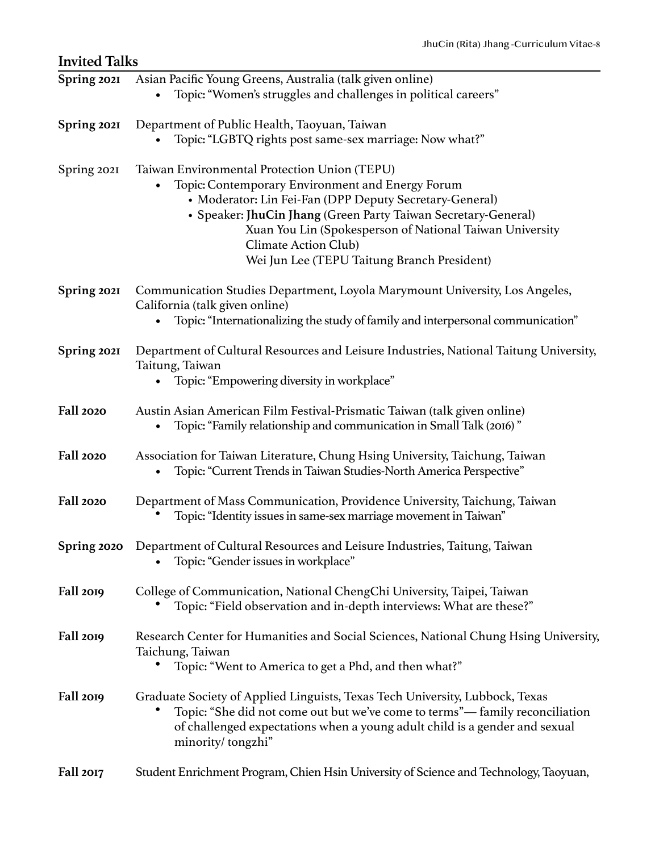| <b>Invited Talks</b> |                                                                                                                                                                                                                                                                                                                                                                  |
|----------------------|------------------------------------------------------------------------------------------------------------------------------------------------------------------------------------------------------------------------------------------------------------------------------------------------------------------------------------------------------------------|
| Spring 2021          | Asian Pacific Young Greens, Australia (talk given online)<br>Topic: "Women's struggles and challenges in political careers"                                                                                                                                                                                                                                      |
| Spring 2021          | Department of Public Health, Taoyuan, Taiwan<br>Topic: "LGBTQ rights post same-sex marriage: Now what?"                                                                                                                                                                                                                                                          |
| Spring 2021          | Taiwan Environmental Protection Union (TEPU)<br>Topic: Contemporary Environment and Energy Forum<br>• Moderator: Lin Fei-Fan (DPP Deputy Secretary-General)<br>• Speaker: JhuCin Jhang (Green Party Taiwan Secretary-General)<br>Xuan You Lin (Spokesperson of National Taiwan University<br>Climate Action Club)<br>Wei Jun Lee (TEPU Taitung Branch President) |
| Spring 2021          | Communication Studies Department, Loyola Marymount University, Los Angeles,<br>California (talk given online)<br>Topic: "Internationalizing the study of family and interpersonal communication"                                                                                                                                                                 |
| Spring 2021          | Department of Cultural Resources and Leisure Industries, National Taitung University,<br>Taitung, Taiwan<br>Topic: "Empowering diversity in workplace"                                                                                                                                                                                                           |
| <b>Fall 2020</b>     | Austin Asian American Film Festival-Prismatic Taiwan (talk given online)<br>Topic: "Family relationship and communication in Small Talk (2016)"                                                                                                                                                                                                                  |
| <b>Fall 2020</b>     | Association for Taiwan Literature, Chung Hsing University, Taichung, Taiwan<br>Topic: "Current Trends in Taiwan Studies-North America Perspective"                                                                                                                                                                                                               |
| <b>Fall 2020</b>     | Department of Mass Communication, Providence University, Taichung, Taiwan<br>Topic: "Identity issues in same-sex marriage movement in Taiwan"                                                                                                                                                                                                                    |
| Spring 2020          | Department of Cultural Resources and Leisure Industries, Taitung, Taiwan<br>Topic: "Gender issues in workplace"                                                                                                                                                                                                                                                  |
| Fall 2019            | College of Communication, National ChengChi University, Taipei, Taiwan<br>Topic: "Field observation and in-depth interviews: What are these?"                                                                                                                                                                                                                    |
| Fall 2019            | Research Center for Humanities and Social Sciences, National Chung Hsing University,<br>Taichung, Taiwan<br>Topic: "Went to America to get a Phd, and then what?"                                                                                                                                                                                                |
| Fall 2019            | Graduate Society of Applied Linguists, Texas Tech University, Lubbock, Texas<br>Topic: "She did not come out but we've come to terms"— family reconciliation<br>of challenged expectations when a young adult child is a gender and sexual<br>minority/tongzhi"                                                                                                  |
| Fall 2017            | Student Enrichment Program, Chien Hsin University of Science and Technology, Taoyuan,                                                                                                                                                                                                                                                                            |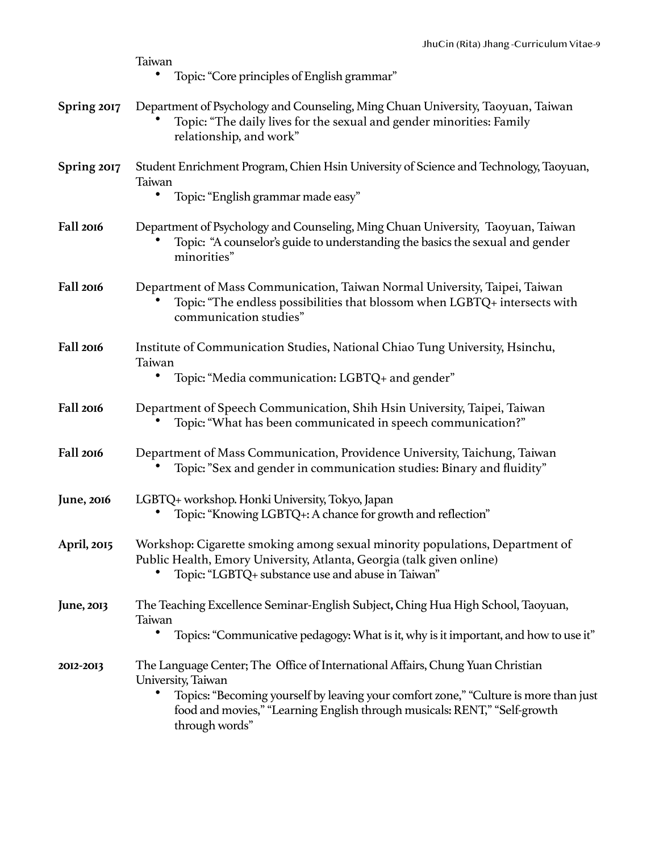|                    | Taiwan<br>Topic: "Core principles of English grammar"                                                                                                                                                                                                                                            |
|--------------------|--------------------------------------------------------------------------------------------------------------------------------------------------------------------------------------------------------------------------------------------------------------------------------------------------|
| Spring 2017        | Department of Psychology and Counseling, Ming Chuan University, Taoyuan, Taiwan<br>Topic: "The daily lives for the sexual and gender minorities: Family<br>relationship, and work"                                                                                                               |
| Spring 2017        | Student Enrichment Program, Chien Hsin University of Science and Technology, Taoyuan,<br>Taiwan<br>Topic: "English grammar made easy"                                                                                                                                                            |
| Fall 2016          | Department of Psychology and Counseling, Ming Chuan University, Taoyuan, Taiwan<br>Topic: "A counselor's guide to understanding the basics the sexual and gender<br>minorities"                                                                                                                  |
| Fall 2016          | Department of Mass Communication, Taiwan Normal University, Taipei, Taiwan<br>Topic: "The endless possibilities that blossom when LGBTQ+ intersects with<br>communication studies"                                                                                                               |
| Fall 2016          | Institute of Communication Studies, National Chiao Tung University, Hsinchu,<br>Taiwan<br>Topic: "Media communication: LGBTQ+ and gender"                                                                                                                                                        |
| Fall 2016          | Department of Speech Communication, Shih Hsin University, Taipei, Taiwan<br>Topic: "What has been communicated in speech communication?"                                                                                                                                                         |
| Fall 2016          | Department of Mass Communication, Providence University, Taichung, Taiwan<br>Topic: "Sex and gender in communication studies: Binary and fluidity"                                                                                                                                               |
| <b>June</b> , 2016 | LGBTQ+ workshop. Honki University, Tokyo, Japan<br>Topic: "Knowing LGBTQ+: A chance for growth and reflection"                                                                                                                                                                                   |
| April, 2015        | Workshop: Cigarette smoking among sexual minority populations, Department of<br>Public Health, Emory University, Atlanta, Georgia (talk given online)<br>Topic: "LGBTQ+ substance use and abuse in Taiwan"                                                                                       |
| June, 2013         | The Teaching Excellence Seminar-English Subject, Ching Hua High School, Taoyuan,<br>Taiwan<br>Topics: "Communicative pedagogy: What is it, why is it important, and how to use it"                                                                                                               |
| 2012-2013          | The Language Center; The Office of International Affairs, Chung Yuan Christian<br>University, Taiwan<br>Topics: "Becoming yourself by leaving your comfort zone," "Culture is more than just<br>٠<br>food and movies," "Learning English through musicals: RENT," "Self-growth<br>through words" |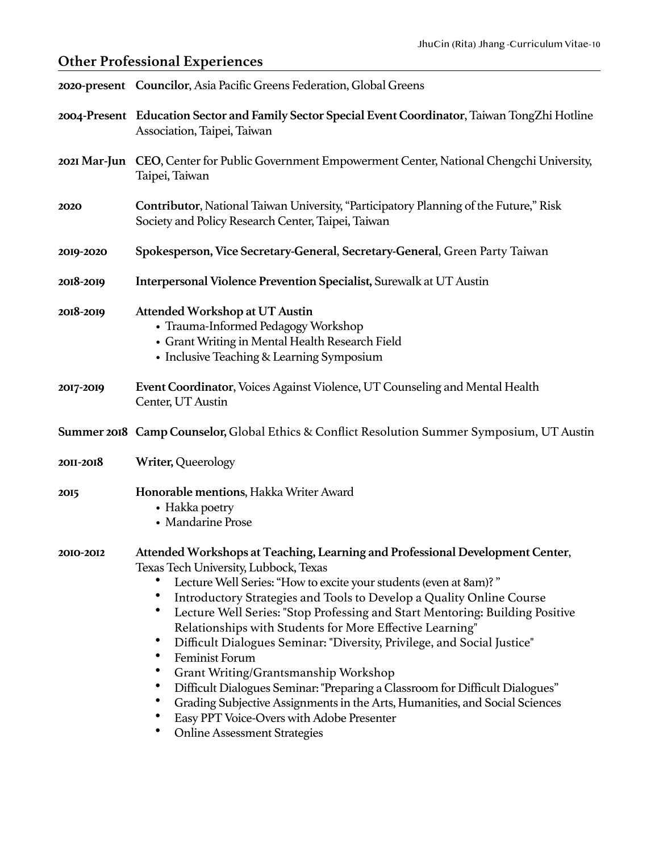## **Other Professional Experiences**

|                  | 2020-present Councilor, Asia Pacific Greens Federation, Global Greens                                                                                                                                                                                                                                                                                                                                                                                                                                                                                                                                                                                                                                                                                                                                                                       |
|------------------|---------------------------------------------------------------------------------------------------------------------------------------------------------------------------------------------------------------------------------------------------------------------------------------------------------------------------------------------------------------------------------------------------------------------------------------------------------------------------------------------------------------------------------------------------------------------------------------------------------------------------------------------------------------------------------------------------------------------------------------------------------------------------------------------------------------------------------------------|
|                  | 2004-Present Education Sector and Family Sector Special Event Coordinator, Taiwan TongZhi Hotline<br>Association, Taipei, Taiwan                                                                                                                                                                                                                                                                                                                                                                                                                                                                                                                                                                                                                                                                                                            |
| 2021 Mar-Jun     | CEO, Center for Public Government Empowerment Center, National Chengchi University,<br>Taipei, Taiwan                                                                                                                                                                                                                                                                                                                                                                                                                                                                                                                                                                                                                                                                                                                                       |
| 2020             | Contributor, National Taiwan University, "Participatory Planning of the Future," Risk<br>Society and Policy Research Center, Taipei, Taiwan                                                                                                                                                                                                                                                                                                                                                                                                                                                                                                                                                                                                                                                                                                 |
| 2019-2020        | Spokesperson, Vice Secretary-General, Secretary-General, Green Party Taiwan                                                                                                                                                                                                                                                                                                                                                                                                                                                                                                                                                                                                                                                                                                                                                                 |
| 2018-2019        | Interpersonal Violence Prevention Specialist, Surewalk at UT Austin                                                                                                                                                                                                                                                                                                                                                                                                                                                                                                                                                                                                                                                                                                                                                                         |
| 2018-2019        | <b>Attended Workshop at UT Austin</b><br>• Trauma-Informed Pedagogy Workshop<br>• Grant Writing in Mental Health Research Field<br>• Inclusive Teaching & Learning Symposium                                                                                                                                                                                                                                                                                                                                                                                                                                                                                                                                                                                                                                                                |
| 2017-2019        | Event Coordinator, Voices Against Violence, UT Counseling and Mental Health<br>Center, UT Austin                                                                                                                                                                                                                                                                                                                                                                                                                                                                                                                                                                                                                                                                                                                                            |
|                  | Summer 2018 Camp Counselor, Global Ethics & Conflict Resolution Summer Symposium, UT Austin                                                                                                                                                                                                                                                                                                                                                                                                                                                                                                                                                                                                                                                                                                                                                 |
| <b>20II-2018</b> | Writer, Queerology                                                                                                                                                                                                                                                                                                                                                                                                                                                                                                                                                                                                                                                                                                                                                                                                                          |
| <b>2015</b>      | Honorable mentions, Hakka Writer Award<br>• Hakka poetry<br>• Mandarine Prose                                                                                                                                                                                                                                                                                                                                                                                                                                                                                                                                                                                                                                                                                                                                                               |
| 2010-2012        | Attended Workshops at Teaching, Learning and Professional Development Center,<br>Texas Tech University, Lubbock, Texas<br>Lecture Well Series: "How to excite your students (even at 8am)?"<br>$\bullet$<br>Introductory Strategies and Tools to Develop a Quality Online Course<br>٠<br>Lecture Well Series: "Stop Professing and Start Mentoring: Building Positive<br>Relationships with Students for More Effective Learning"<br>Difficult Dialogues Seminar: "Diversity, Privilege, and Social Justice"<br>٠<br>Feminist Forum<br>Grant Writing/Grantsmanship Workshop<br>$\bullet$<br>Difficult Dialogues Seminar: "Preparing a Classroom for Difficult Dialogues"<br>Grading Subjective Assignments in the Arts, Humanities, and Social Sciences<br>Easy PPT Voice-Overs with Adobe Presenter<br><b>Online Assessment Strategies</b> |